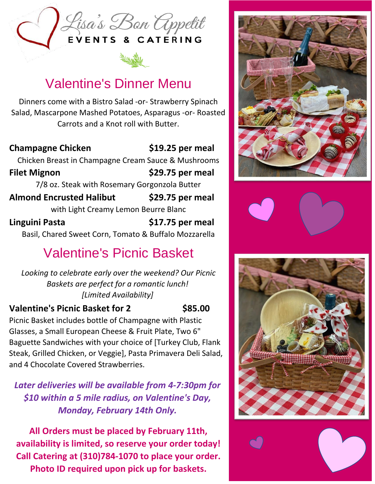

## Valentine's Dinner Menu

Dinners come with a Bistro Salad -or- Strawberry Spinach Salad, Mascarpone Mashed Potatoes, Asparagus -or- Roasted Carrots and a Knot roll with Butter.

**Champagne Chicken Filet Mignon Almond Encrusted Halibut Linguini Pasta \$19.25 per meal \$29.75 per meal** Chicken Breast in Champagne Cream Sauce & Mushrooms 7/8 oz. Steak with Rosemary Gorgonzola Butter **\$29.75 per meal** with Light Creamy Lemon Beurre Blanc **\$17.75 per meal** Basil, Chared Sweet Corn, Tomato & Buffalo Mozzarella

# Valentine's Picnic Basket

 *Looking to celebrate early over the weekend? Our Picnic Baskets are perfect for a romantic lunch! [Limited Availability]*

### **Valentine's Picnic Basket for 2 \$85.00**

Picnic Basket includes bottle of Champagne with Plastic Glasses, a Small European Cheese & Fruit Plate, Two 6" Baguette Sandwiches with your choice of [Turkey Club, Flank Steak, Grilled Chicken, or Veggie], Pasta Primavera Deli Salad, and 4 Chocolate Covered Strawberries.

*Later deliveries will be available from 4-7:30pm for \$10 within a 5 mile radius, on Valentine's Day, Monday, February 14th Only.*

**All Orders must be placed by February 11th, availability is limited, so reserve your order today! Call Catering at (310)784-1070 to place your order. Photo ID required upon pick up for baskets.**